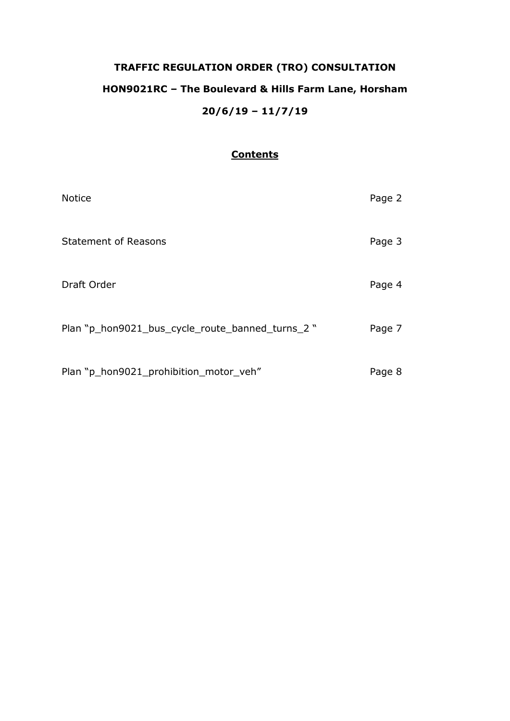# **TRAFFIC REGULATION ORDER (TRO) CONSULTATION HON9021RC – The Boulevard & Hills Farm Lane, Horsham 20/6/19 – 11/7/19**

## **Contents**

| <b>Notice</b>                                    | Page 2 |
|--------------------------------------------------|--------|
| <b>Statement of Reasons</b>                      | Page 3 |
| Draft Order                                      | Page 4 |
| Plan "p_hon9021_bus_cycle_route_banned_turns_2 " | Page 7 |
| Plan "p_hon9021_prohibition_motor_veh"           | Page 8 |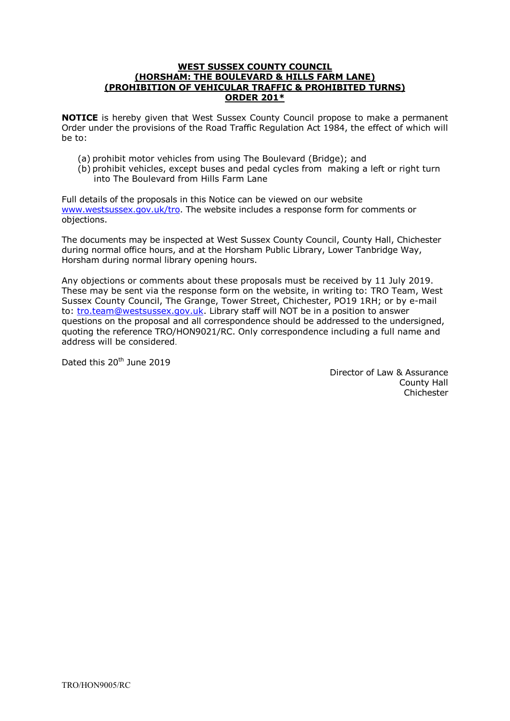#### **WEST SUSSEX COUNTY COUNCIL (HORSHAM: THE BOULEVARD & HILLS FARM LANE) (PROHIBITION OF VEHICULAR TRAFFIC & PROHIBITED TURNS) ORDER 201\***

**NOTICE** is hereby given that West Sussex County Council propose to make a permanent Order under the provisions of the Road Traffic Regulation Act 1984, the effect of which will be to:

- (a) prohibit motor vehicles from using The Boulevard (Bridge); and
- (b) prohibit vehicles, except buses and pedal cycles from making a left or right turn into The Boulevard from Hills Farm Lane

Full details of the proposals in this Notice can be viewed on our website [www.westsussex.gov.uk/tro.](http://www.westsussex.gov.uk/tro) The website includes a response form for comments or objections.

The documents may be inspected at West Sussex County Council, County Hall, Chichester during normal office hours, and at the Horsham Public Library, Lower Tanbridge Way, Horsham during normal library opening hours.

Any objections or comments about these proposals must be received by 11 July 2019. These may be sent via the response form on the website, in writing to: TRO Team, West Sussex County Council, The Grange, Tower Street, Chichester, PO19 1RH; or by e-mail to: [tro.team@westsussex.gov.uk.](mailto:tro.team@westsussex.gov.uk) Library staff will NOT be in a position to answer questions on the proposal and all correspondence should be addressed to the undersigned, quoting the reference TRO/HON9021/RC. Only correspondence including a full name and address will be considered.

Dated this 20<sup>th</sup> June 2019

 Director of Law & Assurance County Hall **Chichester**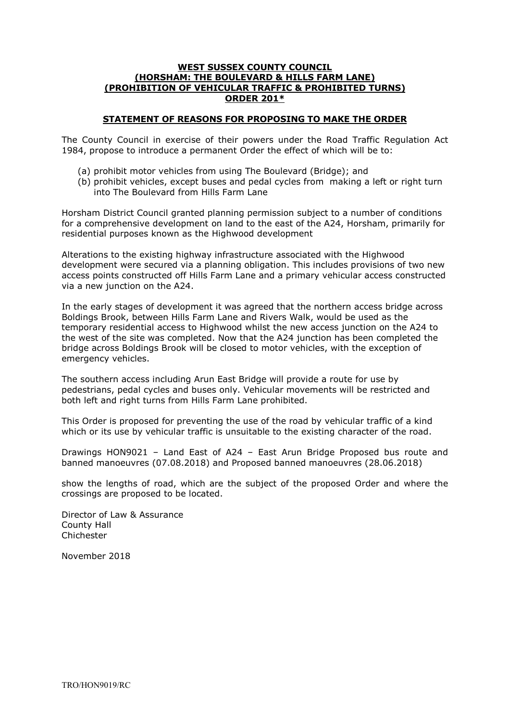## **WEST SUSSEX COUNTY COUNCIL (HORSHAM: THE BOULEVARD & HILLS FARM LANE) (PROHIBITION OF VEHICULAR TRAFFIC & PROHIBITED TURNS) ORDER 201\***

## **STATEMENT OF REASONS FOR PROPOSING TO MAKE THE ORDER**

The County Council in exercise of their powers under the Road Traffic Regulation Act 1984, propose to introduce a permanent Order the effect of which will be to:

- (a) prohibit motor vehicles from using The Boulevard (Bridge); and
- (b) prohibit vehicles, except buses and pedal cycles from making a left or right turn into The Boulevard from Hills Farm Lane

Horsham District Council granted planning permission subject to a number of conditions for a comprehensive development on land to the east of the A24, Horsham, primarily for residential purposes known as the Highwood development

Alterations to the existing highway infrastructure associated with the Highwood development were secured via a planning obligation. This includes provisions of two new access points constructed off Hills Farm Lane and a primary vehicular access constructed via a new junction on the A24.

In the early stages of development it was agreed that the northern access bridge across Boldings Brook, between Hills Farm Lane and Rivers Walk, would be used as the temporary residential access to Highwood whilst the new access junction on the A24 to the west of the site was completed. Now that the A24 junction has been completed the bridge across Boldings Brook will be closed to motor vehicles, with the exception of emergency vehicles.

The southern access including Arun East Bridge will provide a route for use by pedestrians, pedal cycles and buses only. Vehicular movements will be restricted and both left and right turns from Hills Farm Lane prohibited.

This Order is proposed for preventing the use of the road by vehicular traffic of a kind which or its use by vehicular traffic is unsuitable to the existing character of the road.

Drawings HON9021 – Land East of A24 – East Arun Bridge Proposed bus route and banned manoeuvres (07.08.2018) and Proposed banned manoeuvres (28.06.2018)

show the lengths of road, which are the subject of the proposed Order and where the crossings are proposed to be located.

Director of Law & Assurance County Hall Chichester

November 2018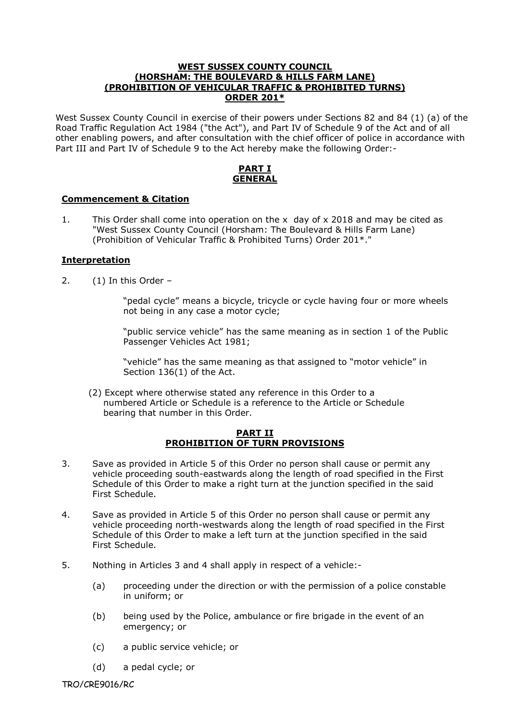#### **WEST SUSSEX COUNTY COUNCIL (HORSHAM: THE BOULEVARD & HILLS FARM LANE) (PROHIBITION OF VEHICULAR TRAFFIC & PROHIBITED TURNS) ORDER 201\***

West Sussex County Council in exercise of their powers under Sections 82 and 84 (1) (a) of the Road Traffic Regulation Act 1984 ("the Act"), and Part IV of Schedule 9 of the Act and of all other enabling powers, and after consultation with the chief officer of police in accordance with Part III and Part IV of Schedule 9 to the Act hereby make the following Order:-

## **PART I GENERAL**

## **Commencement & Citation**

1. This Order shall come into operation on the x day of x 2018 and may be cited as "West Sussex County Council (Horsham: The Boulevard & Hills Farm Lane) (Prohibition of Vehicular Traffic & Prohibited Turns) Order 201\*."

## **Interpretation**

2.  $(1)$  In this Order –

 "pedal cycle" means a bicycle, tricycle or cycle having four or more wheels not being in any case a motor cycle;

 "public service vehicle" has the same meaning as in section 1 of the Public Passenger Vehicles Act 1981;

 "vehicle" has the same meaning as that assigned to "motor vehicle" in Section 136(1) of the Act.

 (2) Except where otherwise stated any reference in this Order to a numbered Article or Schedule is a reference to the Article or Schedule bearing that number in this Order.

#### **PART II PROHIBITION OF TURN PROVISIONS**

- 3. Save as provided in Article 5 of this Order no person shall cause or permit any vehicle proceeding south-eastwards along the length of road specified in the First Schedule of this Order to make a right turn at the junction specified in the said First Schedule.
- 4. Save as provided in Article 5 of this Order no person shall cause or permit any vehicle proceeding north-westwards along the length of road specified in the First Schedule of this Order to make a left turn at the junction specified in the said First Schedule.
- 5. Nothing in Articles 3 and 4 shall apply in respect of a vehicle:-
	- (a) proceeding under the direction or with the permission of a police constable in uniform; or
	- (b) being used by the Police, ambulance or fire brigade in the event of an emergency; or
	- (c) a public service vehicle; or
	- (d) a pedal cycle; or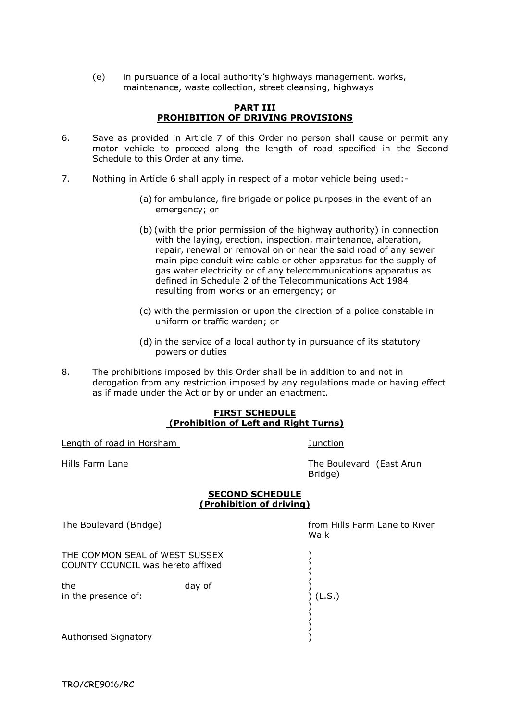(e) in pursuance of a local authority's highways management, works, maintenance, waste collection, street cleansing, highways

#### **PART III PROHIBITION OF DRIVING PROVISIONS**

- 6. Save as provided in Article 7 of this Order no person shall cause or permit any motor vehicle to proceed along the length of road specified in the Second Schedule to this Order at any time.
- 7. Nothing in Article 6 shall apply in respect of a motor vehicle being used:-
	- (a) for ambulance, fire brigade or police purposes in the event of an emergency; or
	- (b) (with the prior permission of the highway authority) in connection with the laying, erection, inspection, maintenance, alteration, repair, renewal or removal on or near the said road of any sewer main pipe conduit wire cable or other apparatus for the supply of gas water electricity or of any telecommunications apparatus as defined in Schedule 2 of the Telecommunications Act 1984 resulting from works or an emergency; or
	- (c) with the permission or upon the direction of a police constable in uniform or traffic warden; or
	- (d) in the service of a local authority in pursuance of its statutory powers or duties
- 8. The prohibitions imposed by this Order shall be in addition to and not in derogation from any restriction imposed by any regulations made or having effect as if made under the Act or by or under an enactment.

## **FIRST SCHEDULE (Prohibition of Left and Right Turns)**

Length of road in Horsham **Junction** 

Hills Farm Lane The Boulevard (East Arun Bridge)

#### **SECOND SCHEDULE (Prohibition of driving)**

The Boulevard (Bridge) The Boulevard (Bridge) and the Soulevard Christian Educational School and The Boulevard Walk THE COMMON SEAL of WEST SUSSEX (2008) COUNTY COUNCIL was hereto affixed  $)$  $)$ the day of  $)$ in the presence of: ) (L.S.) )  $)$  ) Authorised Signatory )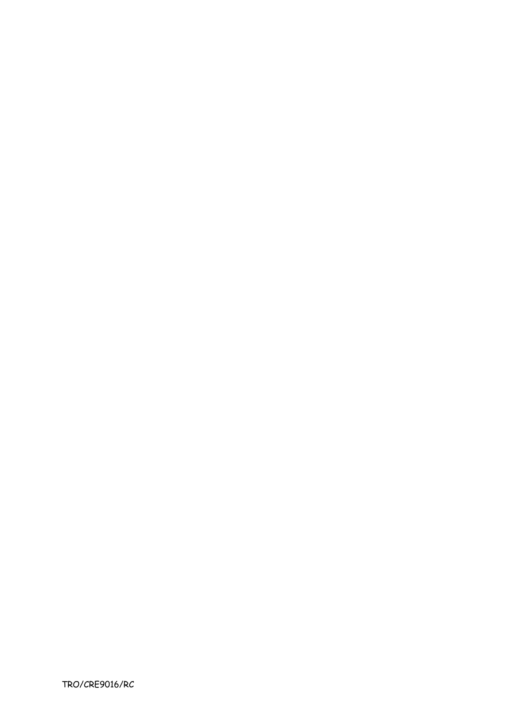TRO/CRE9016/RC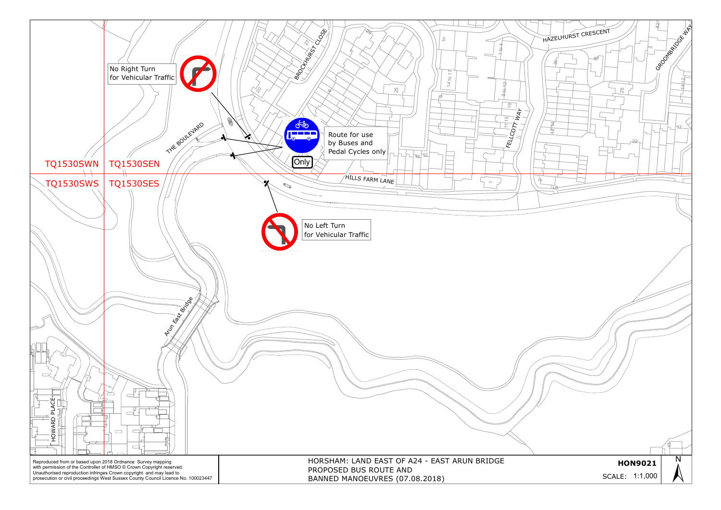